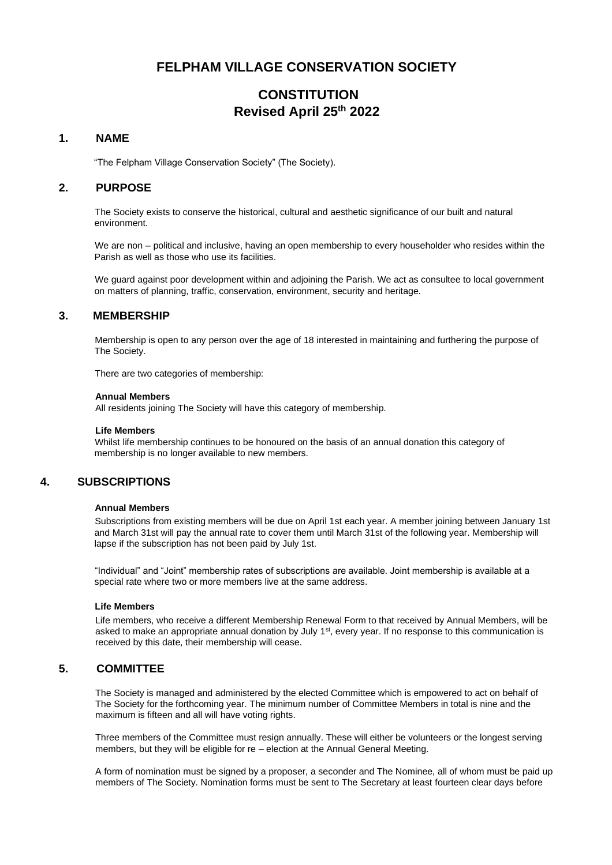# **FELPHAM VILLAGE CONSERVATION SOCIETY**

# **CONSTITUTION Revised April 25 th 2022**

## **1. NAME**

"The Felpham Village Conservation Society" (The Society).

## **2. PURPOSE**

The Society exists to conserve the historical, cultural and aesthetic significance of our built and natural environment.

We are non – political and inclusive, having an open membership to every householder who resides within the Parish as well as those who use its facilities.

We quard against poor development within and adjoining the Parish. We act as consultee to local government on matters of planning, traffic, conservation, environment, security and heritage.

## **3. MEMBERSHIP**

Membership is open to any person over the age of 18 interested in maintaining and furthering the purpose of The Society.

There are two categories of membership:

#### **Annual Members**

All residents joining The Society will have this category of membership.

### **Life Members**

Whilst life membership continues to be honoured on the basis of an annual donation this category of membership is no longer available to new members.

## **4. SUBSCRIPTIONS**

### **Annual Members**

Subscriptions from existing members will be due on April 1st each year. A member joining between January 1st and March 31st will pay the annual rate to cover them until March 31st of the following year. Membership will lapse if the subscription has not been paid by July 1st.

"Individual" and "Joint" membership rates of subscriptions are available. Joint membership is available at a special rate where two or more members live at the same address.

## **Life Members**

Life members, who receive a different Membership Renewal Form to that received by Annual Members, will be asked to make an appropriate annual donation by July 1<sup>st</sup>, every year. If no response to this communication is received by this date, their membership will cease.

## **5. COMMITTEE**

The Society is managed and administered by the elected Committee which is empowered to act on behalf of The Society for the forthcoming year. The minimum number of Committee Members in total is nine and the maximum is fifteen and all will have voting rights.

Three members of the Committee must resign annually. These will either be volunteers or the longest serving members, but they will be eligible for re – election at the Annual General Meeting.

A form of nomination must be signed by a proposer, a seconder and The Nominee, all of whom must be paid up members of The Society. Nomination forms must be sent to The Secretary at least fourteen clear days before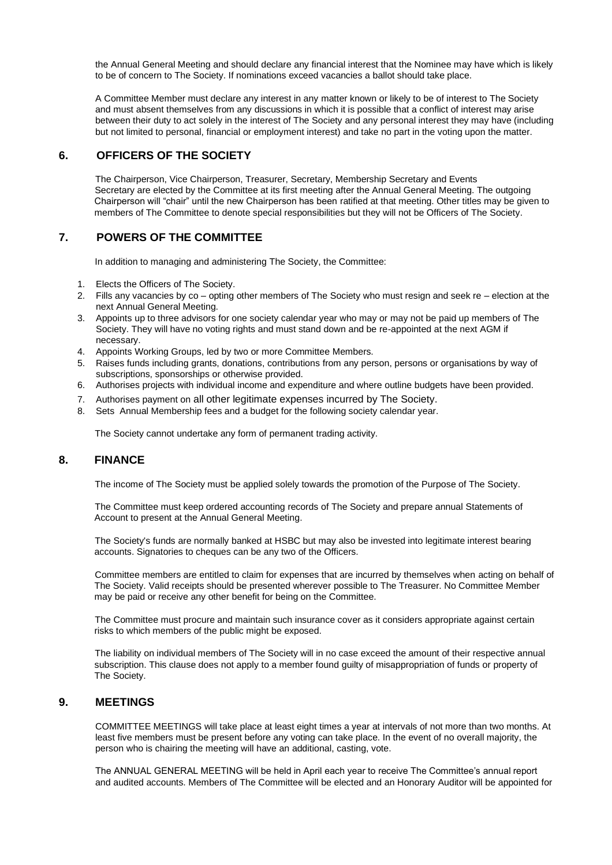the Annual General Meeting and should declare any financial interest that the Nominee may have which is likely to be of concern to The Society. If nominations exceed vacancies a ballot should take place.

A Committee Member must declare any interest in any matter known or likely to be of interest to The Society and must absent themselves from any discussions in which it is possible that a conflict of interest may arise between their duty to act solely in the interest of The Society and any personal interest they may have (including but not limited to personal, financial or employment interest) and take no part in the voting upon the matter.

# **6. OFFICERS OF THE SOCIETY**

The Chairperson, Vice Chairperson, Treasurer, Secretary, Membership Secretary and Events Secretary are elected by the Committee at its first meeting after the Annual General Meeting. The outgoing Chairperson will "chair" until the new Chairperson has been ratified at that meeting. Other titles may be given to members of The Committee to denote special responsibilities but they will not be Officers of The Society.

## **7. POWERS OF THE COMMITTEE**

In addition to managing and administering The Society, the Committee:

- 1. Elects the Officers of The Society.
- 2. Fills any vacancies by co opting other members of The Society who must resign and seek re election at the next Annual General Meeting.
- 3. Appoints up to three advisors for one society calendar year who may or may not be paid up members of The Society. They will have no voting rights and must stand down and be re-appointed at the next AGM if necessary.
- 4. Appoints Working Groups, led by two or more Committee Members.<br>5. Raises funds including grants, donations, contributions from any per
- 5. Raises funds including grants, donations, contributions from any person, persons or organisations by way of subscriptions, sponsorships or otherwise provided.
- 6. Authorises projects with individual income and expenditure and where outline budgets have been provided.
- 7. Authorises payment on all other legitimate expenses incurred by The Society.
- 8. Sets Annual Membership fees and a budget for the following society calendar year.

The Society cannot undertake any form of permanent trading activity.

## **8. FINANCE**

The income of The Society must be applied solely towards the promotion of the Purpose of The Society.

The Committee must keep ordered accounting records of The Society and prepare annual Statements of Account to present at the Annual General Meeting.

The Society's funds are normally banked at HSBC but may also be invested into legitimate interest bearing accounts. Signatories to cheques can be any two of the Officers.

Committee members are entitled to claim for expenses that are incurred by themselves when acting on behalf of The Society. Valid receipts should be presented wherever possible to The Treasurer. No Committee Member may be paid or receive any other benefit for being on the Committee.

The Committee must procure and maintain such insurance cover as it considers appropriate against certain risks to which members of the public might be exposed.

The liability on individual members of The Society will in no case exceed the amount of their respective annual subscription. This clause does not apply to a member found guilty of misappropriation of funds or property of The Society.

## **9. MEETINGS**

COMMITTEE MEETINGS will take place at least eight times a year at intervals of not more than two months. At least five members must be present before any voting can take place. In the event of no overall majority, the person who is chairing the meeting will have an additional, casting, vote.

The ANNUAL GENERAL MEETING will be held in April each year to receive The Committee's annual report and audited accounts. Members of The Committee will be elected and an Honorary Auditor will be appointed for